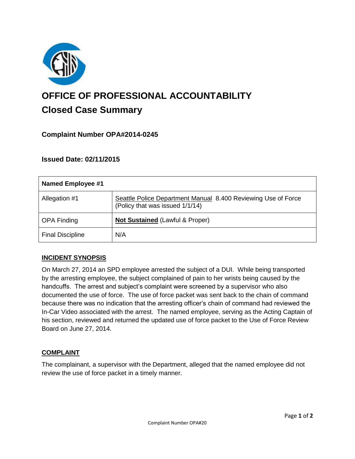

# **OFFICE OF PROFESSIONAL ACCOUNTABILITY Closed Case Summary**

## **Complaint Number OPA#2014-0245**

## **Issued Date: 02/11/2015**

| <b>Named Employee #1</b> |                                                                                                  |
|--------------------------|--------------------------------------------------------------------------------------------------|
| Allegation #1            | Seattle Police Department Manual 8.400 Reviewing Use of Force<br>(Policy that was issued 1/1/14) |
| <b>OPA Finding</b>       | <b>Not Sustained (Lawful &amp; Proper)</b>                                                       |
| <b>Final Discipline</b>  | N/A                                                                                              |

#### **INCIDENT SYNOPSIS**

On March 27, 2014 an SPD employee arrested the subject of a DUI. While being transported by the arresting employee, the subject complained of pain to her wrists being caused by the handcuffs. The arrest and subject's complaint were screened by a supervisor who also documented the use of force. The use of force packet was sent back to the chain of command because there was no indication that the arresting officer's chain of command had reviewed the In-Car Video associated with the arrest. The named employee, serving as the Acting Captain of his section, reviewed and returned the updated use of force packet to the Use of Force Review Board on June 27, 2014.

#### **COMPLAINT**

The complainant, a supervisor with the Department, alleged that the named employee did not review the use of force packet in a timely manner.